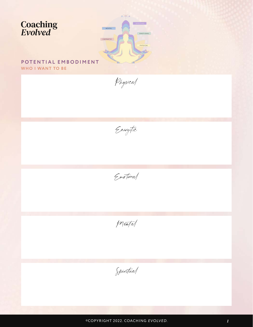



Mental

Spiritual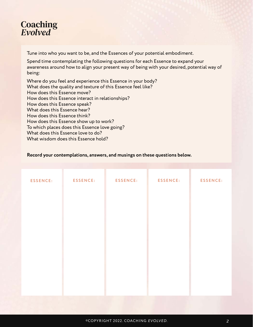## **Coaching**<br>Evolved

Tune into who you want to be, and the Essences of your potential embodiment.

Spend time contemplating the following questions for each Essence to expand your awareness around how to align your present way of being with your desired, potential way of being:

Where do you feel and experience this Essence in your body? What does the quality and texture of this Essence feel like? How does this Essence move? How does this Essence interact in relationships? How does this Essence speak? What does this Essence hear? How does this Essence think? How does this Essence show up to work? To which places does this Essence love going? What does this Essence love to do? What wisdom does this Essence hold?

## **Record your contemplations, answers, and musings on these questions below.**

| <b>ESSENCE:</b> | <b>ESSENCE:</b> | <b>ESSENCE:</b> | <b>ESSENCE:</b> | <b>ESSENCE:</b> |
|-----------------|-----------------|-----------------|-----------------|-----------------|
|                 |                 |                 |                 |                 |
|                 |                 |                 |                 |                 |
|                 |                 |                 |                 |                 |
|                 |                 |                 |                 |                 |
|                 |                 |                 |                 |                 |
|                 |                 |                 |                 |                 |